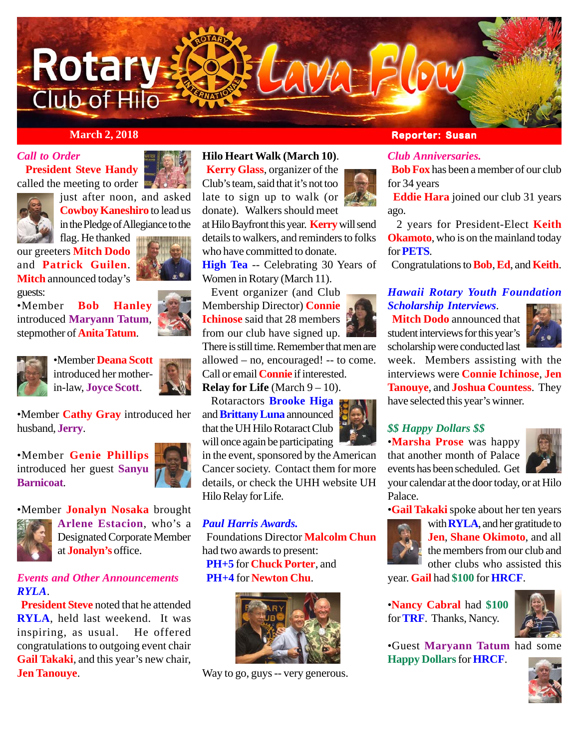

### *Call to Order*

 **President Steve Handy** called the meeting to order





just after noon, and asked **Cowboy Kaneshiro** to lead us in the Pledge of Allegiance to the

flag. He thanked our greeters **Mitch Dodo** and **Patrick Guilen**. **Mitch** announced today's



guests: •Member **Bob Hanley** introduced **Maryann Tatum**, stepmother of **Anita Tatum**.





•Member **Deana Scott** introduced her motherin-law, **Joyce Scott**.



•Member **Cathy Gray** introduced her husband, **Jerry**.

•Member **Genie Phillips** introduced her guest **Sanyu Barnicoat**.







**Arlene Estacion**, who's a Designated Corporate Member at **Jonalyn's** office.

### *Events and Other Announcements RYLA*.

 **President Steve** noted that he attended **RYLA**, held last weekend. It was inspiring, as usual. He offered congratulations to outgoing event chair **Gail Takaki**, and this year's new chair, **Jen Tanouye**.

**Hilo Heart Walk (March 10)**.

 **Kerry Glass**, organizer of the Club's team, said that it's not too late to sign up to walk (or donate). Walkers should meet at Hilo Bayfront this year. **Kerry** will send details to walkers, and reminders to folks who have committed to donate.

**High Tea** -- Celebrating 30 Years of Women in Rotary (March 11).

 Event organizer (and Club Membership Director) **Connie Ichinose** said that 28 members from our club have signed up. There is still time. Remember that men are allowed – no, encouraged! -- to come. Call or email **Connie** if interested.

**Relay for Life** (March  $9 - 10$ ). Rotaractors **Brooke Higa**

and **Brittany Luna** announced that the UH Hilo Rotaract Club will once again be participating

in the event, sponsored by the American Cancer society. Contact them for more details, or check the UHH website UH Hilo Relay for Life.

### *Paul Harris Awards.*

 Foundations Director **Malcolm Chun** had two awards to present:  **PH+5** for **Chuck Porter**, and  **PH+4** for **Newton Chu**.



Way to go, guys -- very generous.

### *March 2, 2018* **<b>Reporter: Susan**

### *Club Anniversaries.*

 **Bob Fox** has been a member of our club for 34 years

 **Eddie Hara** joined our club 31 years ago.

 2 years for President-Elect **Keith Okamoto**, who is on the mainland today for **PETS**.

Congratulations to **Bob**, **Ed**, and **Keith**.

### *Hawaii Rotary Youth Foundation Scholarship Interviews*.

 **Mitch Dodo** announced that student interviews for this year's scholarship were conducted last



week. Members assisting with the interviews were **Connie Ichinose**, **Jen Tanouye**, and **Joshua Countess**. They have selected this year's winner.

### *\$\$ Happy Dollars \$\$*

•**Marsha Prose** was happy that another month of Palace events has been scheduled. Get



your calendar at the door today, or at Hilo Palace.

•**Gail Takaki** spoke about her ten years



with **RYLA**, and her gratitude to **Jen**, **Shane Okimoto**, and all the members from our club and other clubs who assisted this

year. **Gail** had **\$100** for **HRCF**.

•**Nancy Cabral** had **\$100** for **TRF**. Thanks, Nancy.



•Guest **Maryann Tatum** had some **Happy Dollars** for **HRCF**.



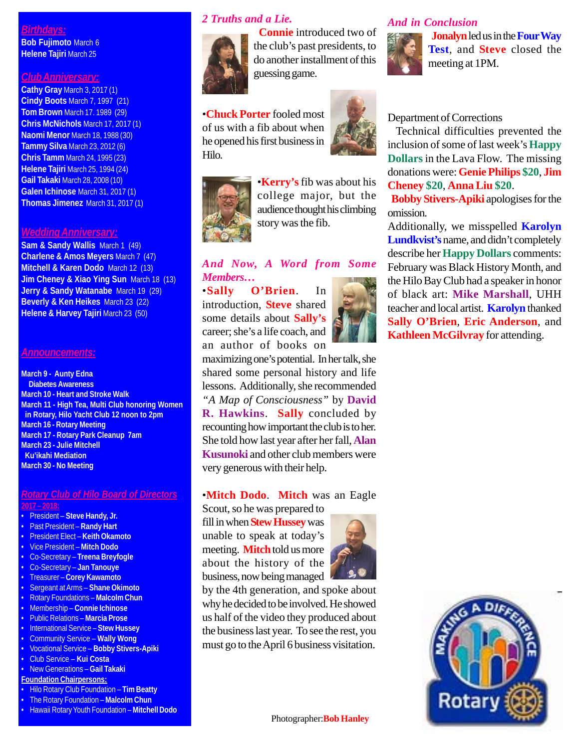### *Birthdays:*

**Bob Fujimoto** March 6 **Helene Tajiri** March 25

### *Club Anniversary:*

**Cathy Gray** March 3, 2017 (1) **Cindy Boots** March 7, 1997 (21) **Tom Brown** March 17. 1989 (29) **Chris McNichols** March 17, 2017 (1) **Naomi Menor** March 18, 1988 (30) **Tammy Silva** March 23, 2012 (6) **Chris Tamm** March 24, 1995 (23) **Helene Tajiri** March 25, 1994 (24) **Gail Takaki** March 28, 2008 (10) **Galen Ichinose** March 31, 2017 (1) **Thomas Jimenez** March 31, 2017 (1)

#### *Wedding Anniversary:*

**Sam & Sandy Wallis** March 1 (49) **Charlene & Amos Meyers** March 7 (47) **Mitchell & Karen Dodo** March 12 (13) **Jim Cheney & Xiao Ying Sun** March 18 (13) **Jerry & Sandy Watanabe** March 19 (29) **Beverly & Ken Heikes** March 23 (22) **Helene & Harvey Tajiri** March 23 (50)

#### *Announcements:*

**March 9 - Aunty Edna Diabetes Awareness March 10 - Heart and Stroke Walk March 11 - High Tea, Multi Club honoring Women in Rotary, Hilo Yacht Club 12 noon to 2pm March 16 - Rotary Meeting March 17 - Rotary Park Cleanup 7am March 23 - Julie Mitchell Ku'ikahi Mediation March 30 - No Meeting**

## *Rotary Club of Hilo Board of Directors*

#### **2017 – 2018:**

- President **Steve Handy, Jr.**
- Past President **Randy Hart**
- President Elect **Keith Okamoto**
- Vice President **Mitch Dodo**
- Co-Secretary **Treena Breyfogle**
- Co-Secretary **Jan Tanouye**
- Treasurer **Corey Kawamoto**
- Sergeant at Arms **Shane Okimoto** • Rotary Foundations – **Malcolm Chun**
- Membership **Connie Ichinose**
- Public Relations **Marcia Prose**
- International Service **Stew Hussey**
- Community Service **Wally Wong**
- Vocational Service **Bobby Stivers-Apiki**
- Club Service **Kui Costa**
- New Generations **Gail Takaki**
- **Foundation Chairpersons:**
- Hilo Rotary Club Foundation **Tim Beatty**
- The Rotary Foundation **Malcolm Chun**
- Hawaii Rotary Youth Foundation **Mitchell Dodo**

### *2 Truths and a Lie.*



 **Connie** introduced two of the club's past presidents, to do another installment of this guessing game.

•**Chuck Porter** fooled most of us with a fib about when he opened his first business in Hilo.





•**Kerry's** fib was about his college major, but the audience thought his climbing story was the fib.

### *And Now, A Word from Some Members…*

•**Sally O'Brien**. In introduction, **Steve** shared some details about **Sally's** career; she's a life coach, and an author of books on

maximizing one's potential. In her talk, she shared some personal history and life lessons. Additionally, she recommended *"A Map of Consciousness"* by **David R. Hawkins**. **Sally** concluded by recounting how important the club is to her. She told how last year after her fall, **Alan Kusunoki** and other club members were very generous with their help.

### •**Mitch Dodo**. **Mitch** was an Eagle

Scout, so he was prepared to

fill in when **Stew Hussey** was unable to speak at today's meeting. **Mitch** told us more about the history of the business, now being managed



by the 4th generation, and spoke about why he decided to be involved. He showed us half of the video they produced about the business last year. To see the rest, you must go to the April 6 business visitation.

#### *And in Conclusion*



 **Jonalyn** led us in the **Four Way Test**, and **Steve** closed the meeting at 1PM.

#### Department of Corrections

 Technical difficulties prevented the inclusion of some of last week's **Happy Dollars** in the Lava Flow. The missing donations were: **Genie Philips \$20**, **Jim Cheney \$20**, **Anna Liu \$20**.

 **Bobby Stivers-Apiki** apologises for the omission.

Additionally, we misspelled **Karolyn Lundkvist's** name, and didn't completely describe her **Happy Dollars** comments: February was Black History Month, and the Hilo Bay Club had a speaker in honor of black art: **Mike Marshall**, UHH teacher and local artist. **Karolyn** thanked **Sally O'Brien**, **Eric Anderson**, and **Kathleen McGilvray** for attending.